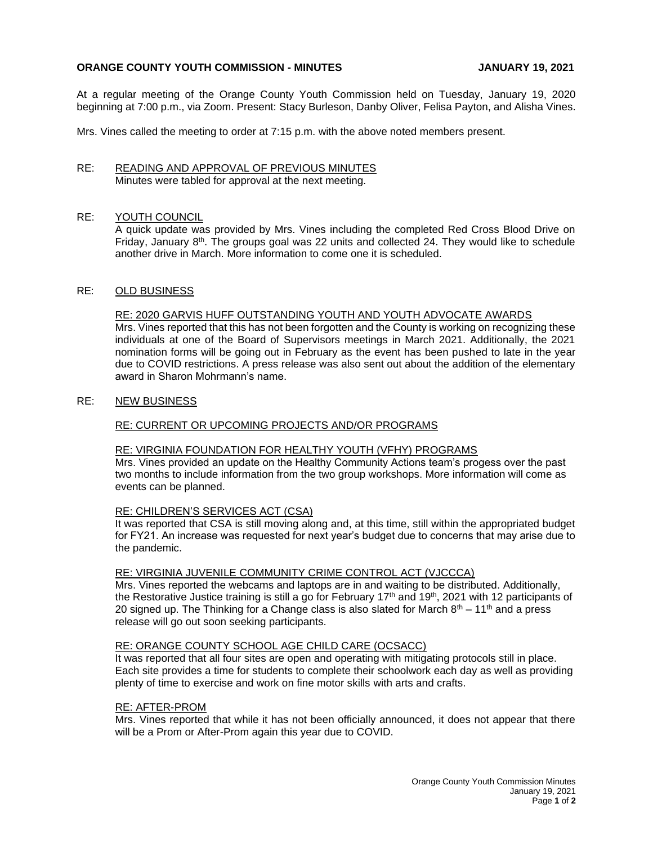# **ORANGE COUNTY YOUTH COMMISSION - MINUTES JANUARY 19, 2021**

At a regular meeting of the Orange County Youth Commission held on Tuesday, January 19, 2020 beginning at 7:00 p.m., via Zoom. Present: Stacy Burleson, Danby Oliver, Felisa Payton, and Alisha Vines.

Mrs. Vines called the meeting to order at 7:15 p.m. with the above noted members present.

### RE: READING AND APPROVAL OF PREVIOUS MINUTES Minutes were tabled for approval at the next meeting.

# RE: YOUTH COUNCIL

A quick update was provided by Mrs. Vines including the completed Red Cross Blood Drive on Friday, January  $8<sup>th</sup>$ . The groups goal was 22 units and collected 24. They would like to schedule another drive in March. More information to come one it is scheduled.

### RE: OLD BUSINESS

### RE: 2020 GARVIS HUFF OUTSTANDING YOUTH AND YOUTH ADVOCATE AWARDS

Mrs. Vines reported that this has not been forgotten and the County is working on recognizing these individuals at one of the Board of Supervisors meetings in March 2021. Additionally, the 2021 nomination forms will be going out in February as the event has been pushed to late in the year due to COVID restrictions. A press release was also sent out about the addition of the elementary award in Sharon Mohrmann's name.

# RE: NEW BUSINESS

### RE: CURRENT OR UPCOMING PROJECTS AND/OR PROGRAMS

### RE: VIRGINIA FOUNDATION FOR HEALTHY YOUTH (VFHY) PROGRAMS

Mrs. Vines provided an update on the Healthy Community Actions team's progess over the past two months to include information from the two group workshops. More information will come as events can be planned.

### RE: CHILDREN'S SERVICES ACT (CSA)

It was reported that CSA is still moving along and, at this time, still within the appropriated budget for FY21. An increase was requested for next year's budget due to concerns that may arise due to the pandemic.

### RE: VIRGINIA JUVENILE COMMUNITY CRIME CONTROL ACT (VJCCCA)

Mrs. Vines reported the webcams and laptops are in and waiting to be distributed. Additionally, the Restorative Justice training is still a go for February 17<sup>th</sup> and 19<sup>th</sup>, 2021 with 12 participants of 20 signed up. The Thinking for a Change class is also slated for March  $8<sup>th</sup> - 11<sup>th</sup>$  and a press release will go out soon seeking participants.

### RE: ORANGE COUNTY SCHOOL AGE CHILD CARE (OCSACC)

It was reported that all four sites are open and operating with mitigating protocols still in place. Each site provides a time for students to complete their schoolwork each day as well as providing plenty of time to exercise and work on fine motor skills with arts and crafts.

### RE: AFTER-PROM

Mrs. Vines reported that while it has not been officially announced, it does not appear that there will be a Prom or After-Prom again this year due to COVID.